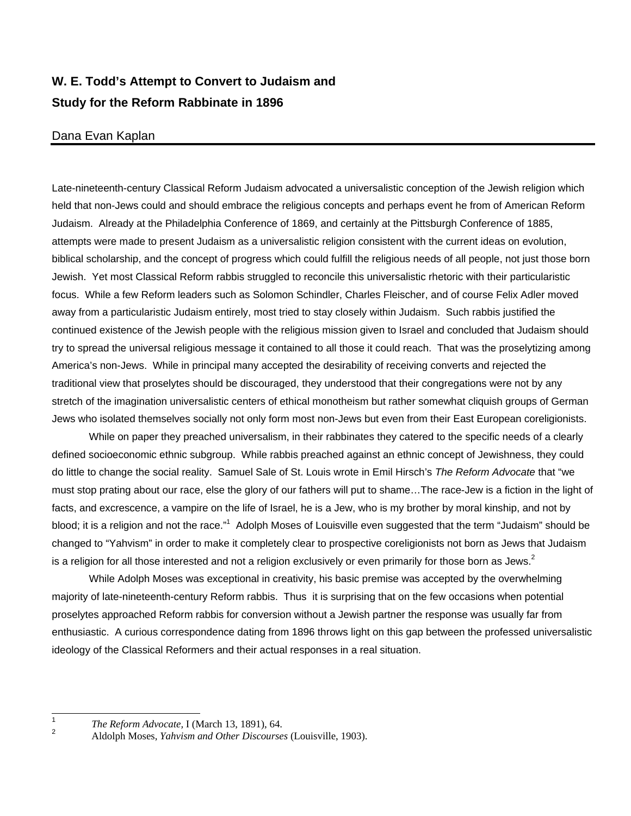## **W. E. Todd's Attempt to Convert to Judaism and Study for the Reform Rabbinate in 1896**

## Dana Evan Kaplan

Late-nineteenth-century Classical Reform Judaism advocated a universalistic conception of the Jewish religion which held that non-Jews could and should embrace the religious concepts and perhaps event he from of American Reform Judaism. Already at the Philadelphia Conference of 1869, and certainly at the Pittsburgh Conference of 1885, attempts were made to present Judaism as a universalistic religion consistent with the current ideas on evolution, biblical scholarship, and the concept of progress which could fulfill the religious needs of all people, not just those born Jewish. Yet most Classical Reform rabbis struggled to reconcile this universalistic rhetoric with their particularistic focus. While a few Reform leaders such as Solomon Schindler, Charles Fleischer, and of course Felix Adler moved away from a particularistic Judaism entirely, most tried to stay closely within Judaism. Such rabbis justified the continued existence of the Jewish people with the religious mission given to Israel and concluded that Judaism should try to spread the universal religious message it contained to all those it could reach. That was the proselytizing among America's non-Jews. While in principal many accepted the desirability of receiving converts and rejected the traditional view that proselytes should be discouraged, they understood that their congregations were not by any stretch of the imagination universalistic centers of ethical monotheism but rather somewhat cliquish groups of German Jews who isolated themselves socially not only form most non-Jews but even from their East European coreligionists.

 While on paper they preached universalism, in their rabbinates they catered to the specific needs of a clearly defined socioeconomic ethnic subgroup. While rabbis preached against an ethnic concept of Jewishness, they could do little to change the social reality. Samuel Sale of St. Louis wrote in Emil Hirsch's *The Reform Advocate* that "we must stop prating about our race, else the glory of our fathers will put to shame…The race-Jew is a fiction in the light of facts, and excrescence, a vampire on the life of Israel, he is a Jew, who is my brother by moral kinship, and not by blood;it is a religion and not the race."<sup>1</sup> Adolph Moses of Louisville even suggested that the term "Judaism" should be changed to "Yahvism" in order to make it completely clear to prospective coreligionists not born as Jews that Judaism is a religion for all those interested and not a religion exclusively or even primarily for those born as Jews.<sup>[2](#page-0-1)</sup>

 While Adolph Moses was exceptional in creativity, his basic premise was accepted by the overwhelming majority of late-nineteenth-century Reform rabbis. Thus it is surprising that on the few occasions when potential proselytes approached Reform rabbis for conversion without a Jewish partner the response was usually far from enthusiastic. A curious correspondence dating from 1896 throws light on this gap between the professed universalistic ideology of the Classical Reformers and their actual responses in a real situation.

 $\overline{1}$ 

<span id="page-0-0"></span>*The Reform Advocate,* I (March 13, 1891), 64.

<span id="page-0-1"></span><sup>2</sup> Aldolph Moses, *Yahvism and Other Discourses* (Louisville, 1903).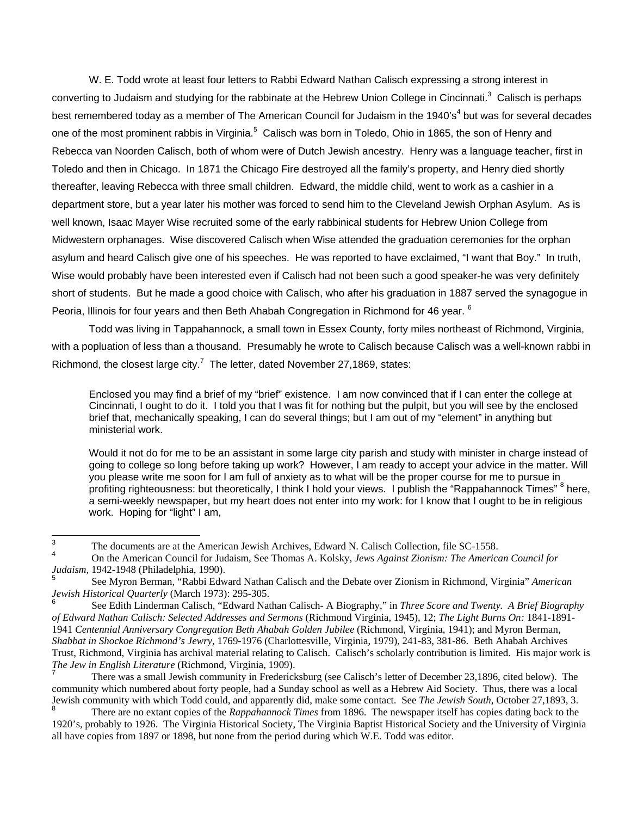W. E. Todd wrote at least four letters to Rabbi Edward Nathan Calisch expressing a strong interest in converting to Judaism and studying for the rabbinate at the Hebrew Union College in Cincinnati.<sup>[3](#page-1-0)</sup> Calisch is perhaps best remembered today as a member of The American Council for Judaism in the 19[4](#page-1-1)0's<sup>4</sup> but was for several decades oneof the most prominent rabbis in Virginia.<sup>5</sup> Calisch was born in Toledo, Ohio in 1865, the son of Henry and Rebecca van Noorden Calisch, both of whom were of Dutch Jewish ancestry. Henry was a language teacher, first in Toledo and then in Chicago. In 1871 the Chicago Fire destroyed all the family's property, and Henry died shortly thereafter, leaving Rebecca with three small children. Edward, the middle child, went to work as a cashier in a department store, but a year later his mother was forced to send him to the Cleveland Jewish Orphan Asylum. As is well known, Isaac Mayer Wise recruited some of the early rabbinical students for Hebrew Union College from Midwestern orphanages. Wise discovered Calisch when Wise attended the graduation ceremonies for the orphan asylum and heard Calisch give one of his speeches. He was reported to have exclaimed, "I want that Boy." In truth, Wise would probably have been interested even if Calisch had not been such a good speaker-he was very definitely short of students. But he made a good choice with Calisch, who after his graduation in 1887 served the synagogue in Peoria, Illinois for four years and then Beth Ahabah Congregation in Richmond for 4[6](#page-1-3) year. <sup>6</sup>

 Todd was living in Tappahannock, a small town in Essex County, forty miles northeast of Richmond, Virginia, with a popluation of less than a thousand. Presumably he wrote to Calisch because Calisch was a well-known rabbi in Richmond, the closest large city.<sup>[7](#page-1-4)</sup> The letter, dated November 27,1869, states:

Enclosed you may find a brief of my "brief" existence. I am now convinced that if I can enter the college at Cincinnati, I ought to do it. I told you that I was fit for nothing but the pulpit, but you will see by the enclosed brief that, mechanically speaking, I can do several things; but I am out of my "element" in anything but ministerial work.

Would it not do for me to be an assistant in some large city parish and study with minister in charge instead of going to college so long before taking up work? However, I am ready to accept your advice in the matter. Will you please write me soon for I am full of anxiety as to what will be the proper course for me to pursue in profiting righteousness: but theoretically, I think I hold your views. I publish the "Rappahannock Times" <sup>[8](#page-1-5)</sup> here, a semi-weekly newspaper, but my heart does not enter into my work: for I know that I ought to be in religious work. Hoping for "light" I am,

<span id="page-1-0"></span> 3 The documents are at the American Jewish Archives, Edward N. Calisch Collection, file SC-1558.

<span id="page-1-1"></span><sup>4</sup> On the American Council for Judaism, See Thomas A. Kolsky, *Jews Against Zionism: The American Council for Judaism,* 1942-1948 (Philadelphia, 1990). <sup>5</sup>

<span id="page-1-2"></span>See Myron Berman, "Rabbi Edward Nathan Calisch and the Debate over Zionism in Richmond, Virginia" *American Jewish Historical Quarterly* (March 1973): 295-305. 6

<span id="page-1-3"></span>See Edith Linderman Calisch, "Edward Nathan Calisch- A Biography," in *Three Score and Twenty. A Brief Biography of Edward Nathan Calisch: Selected Addresses and Sermons* (Richmond Virginia, 1945), 12; *The Light Burns On:* 1841-1891- 1941 *Centennial Anniversary Congregation Beth Ahabah Golden Jubilee* (Richmond, Virginia, 1941); and Myron Berman, *Shabbat in Shockoe Richmond's Jewry,* 1769-1976 (Charlottesville, Virginia, 1979), 241-83, 381-86. Beth Ahabah Archives Trust, Richmond, Virginia has archival material relating to Calisch. Calisch's scholarly contribution is limited. His major work is *The Jew in English Literature* (Richmond, Virginia, 1909).

<span id="page-1-4"></span>There was a small Jewish community in Fredericksburg (see Calisch's letter of December 23,1896, cited below). The community which numbered about forty people, had a Sunday school as well as a Hebrew Aid Society. Thus, there was a local Jewish community with which Todd could, and apparently did, make some contact. See *The Jewish South*, October 27,1893, 3. 8

<span id="page-1-5"></span>There are no extant copies of the *Rappahannock Times* from 1896. The newspaper itself has copies dating back to the 1920's, probably to 1926. The Virginia Historical Society, The Virginia Baptist Historical Society and the University of Virginia all have copies from 1897 or 1898, but none from the period during which W.E. Todd was editor.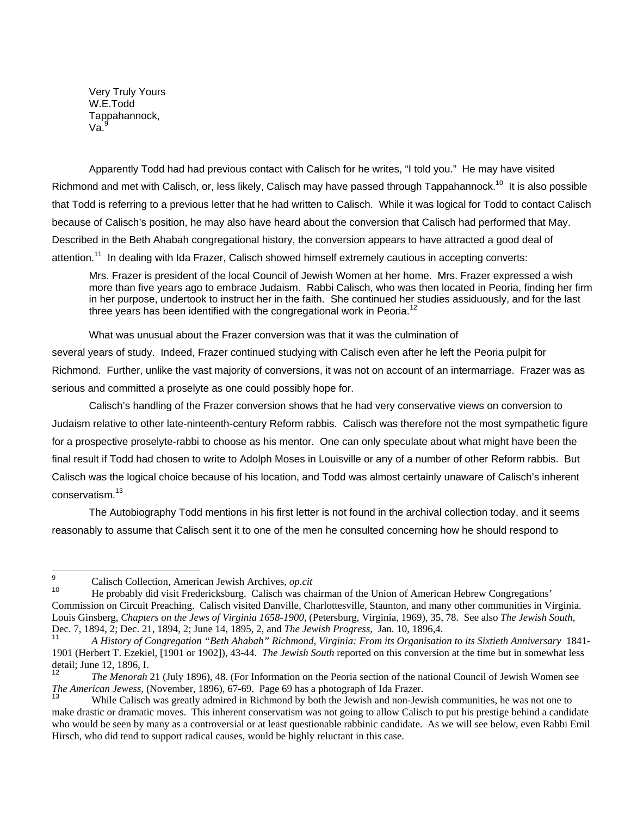Very Truly Yours W.E.Todd Tappahannock, Va.

Apparently Todd had had previous contact with Calisch for he writes, "I told you." He may have visited Richmond and met with Calisch, or, less likely, Calisch may have passed through Tappahannock.<sup>10</sup> It is also possible that Todd is referring to a previous letter that he had written to Calisch. While it was logical for Todd to contact Calisch because of Calisch's position, he may also have heard about the conversion that Calisch had performed that May. Described in the Beth Ahabah congregational history, the conversion appears to have attracted a good deal of attention.<sup>11</sup> In dealing with Ida Frazer, Calisch showed himself extremely cautious in accepting converts:

Mrs. Frazer is president of the local Council of Jewish Women at her home. Mrs. Frazer expressed a wish more than five years ago to embrace Judaism. Rabbi Calisch, who was then located in Peoria, finding her firm in her purpose, undertook to instruct her in the faith. She continued her studies assiduously, and for the last three years has been identified with the congregational work in Peoria.<sup>[12](#page-2-3)</sup>

What was unusual about the Frazer conversion was that it was the culmination of several years of study. Indeed, Frazer continued studying with Calisch even after he left the Peoria pulpit for Richmond. Further, unlike the vast majority of conversions, it was not on account of an intermarriage. Frazer was as serious and committed a proselyte as one could possibly hope for.

 Calisch's handling of the Frazer conversion shows that he had very conservative views on conversion to Judaism relative to other late-ninteenth-century Reform rabbis. Calisch was therefore not the most sympathetic figure for a prospective proselyte-rabbi to choose as his mentor. One can only speculate about what might have been the final result if Todd had chosen to write to Adolph Moses in Louisville or any of a number of other Reform rabbis. But Calisch was the logical choice because of his location, and Todd was almost certainly unaware of Calisch's inherent conservatism.<sup>[13](#page-2-4)</sup>

 The Autobiography Todd mentions in his first letter is not found in the archival collection today, and it seems reasonably to assume that Calisch sent it to one of the men he consulted concerning how he should respond to

<span id="page-2-0"></span><sup>9</sup> Calisch Collection, American Jewish Archives, *op.cit* 

<span id="page-2-1"></span><sup>10</sup> He probably did visit Fredericksburg. Calisch was chairman of the Union of American Hebrew Congregations' Commission on Circuit Preaching. Calisch visited Danville, Charlottesville, Staunton, and many other communities in Virginia. Louis Ginsberg, *Chapters on the Jews of Virginia 1658-1900,* (Petersburg, Virginia, 1969), 35, 78. See also *The Jewish South,*  Dec. 7, 1894, 2; Dec. 21, 1894, 2; June 14, 1895, 2, and *The Jewish Progress,* Jan. 10, 1896,4.

<span id="page-2-2"></span><sup>11</sup> *A History of Congregation "Beth Ahabah" Richmond, Virginia: From its Organisation to its Sixtieth Anniversary* 1841- 1901 (Herbert T. Ezekiel, [1901 or 1902]), 43-44. *The Jewish South* reported on this conversion at the time but in somewhat less detail; June 12, 1896, I.<br><sup>12</sup> *Ihe Menorah* 21 (July 1896), 48. (For Information on the Peoria section of the national Council of Jewish Women see

<span id="page-2-3"></span>*The American Jewess, (November, 1896), 67-69.* Page 69 has a photograph of Ida Frazer.<br><sup>13</sup> While Calisch was greatly admired in Richmond by both the Jewish and non-Jewish communities, he was not one to

<span id="page-2-4"></span>make drastic or dramatic moves. This inherent conservatism was not going to allow Calisch to put his prestige behind a candidate who would be seen by many as a controversial or at least questionable rabbinic candidate. As we will see below, even Rabbi Emil Hirsch, who did tend to support radical causes, would be highly reluctant in this case.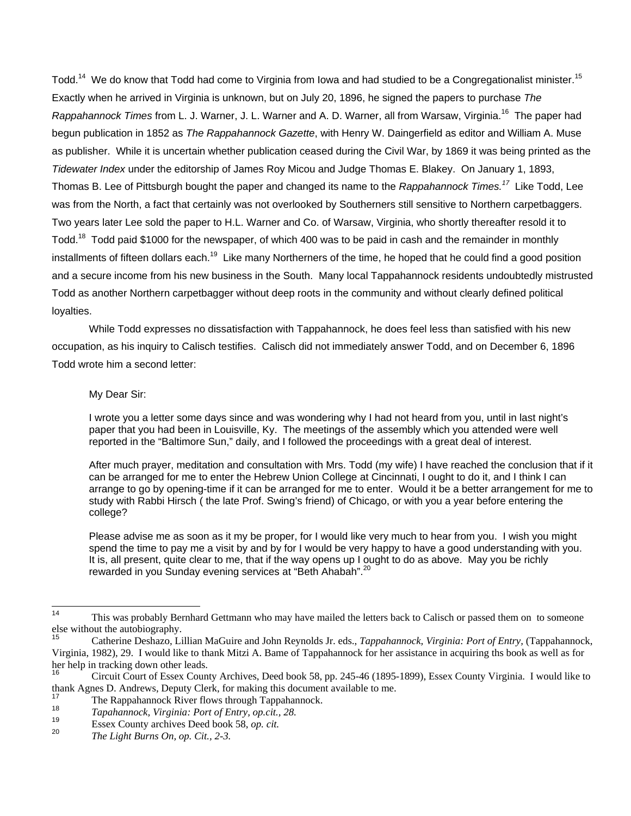Todd.<sup>14</sup> We do know that Todd had come to Virginia from Iowa and had studied to be a Congregationalist minister.<sup>15</sup> Exactly when he arrived in Virginia is unknown, but on July 20, 1896, he signed the papers to purchase *The Rappahannock Times* from L. J. Warner, J. L. Warner and A. D. Warner, all from Warsaw, Virginia.[16](#page-3-2) The paper had begun publication in 1852 as *The Rappahannock Gazette*, with Henry W. Daingerfield as editor and William A. Muse as publisher. While it is uncertain whether publication ceased during the Civil War, by 1869 it was being printed as the *Tidewater Index* under the editorship of James Roy Micou and Judge Thomas E. Blakey. On January 1, 1893, Thomas B. Lee of Pittsburgh bought the paper and changed its name to the *Rappahannock Times.[17](#page-3-3)* Like Todd, Lee was from the North, a fact that certainly was not overlooked by Southerners still sensitive to Northern carpetbaggers. Two years later Lee sold the paper to H.L. Warner and Co. of Warsaw, Virginia, who shortly thereafter resold it to Todd.<sup>18</sup> Todd paid \$1000 for the newspaper, of which 400 was to be paid in cash and the remainder in monthly installments of fifteen dollars each.<sup>19</sup> Like many Northerners of the time, he hoped that he could find a good position and a secure income from his new business in the South. Many local Tappahannock residents undoubtedly mistrusted Todd as another Northern carpetbagger without deep roots in the community and without clearly defined political loyalties.

 While Todd expresses no dissatisfaction with Tappahannock, he does feel less than satisfied with his new occupation, as his inquiry to Calisch testifies. Calisch did not immediately answer Todd, and on December 6, 1896 Todd wrote him a second letter:

## My Dear Sir:

I wrote you a letter some days since and was wondering why I had not heard from you, until in last night's paper that you had been in Louisville, Ky. The meetings of the assembly which you attended were well reported in the "Baltimore Sun," daily, and I followed the proceedings with a great deal of interest.

After much prayer, meditation and consultation with Mrs. Todd (my wife) I have reached the conclusion that if it can be arranged for me to enter the Hebrew Union College at Cincinnati, I ought to do it, and I think I can arrange to go by opening-time if it can be arranged for me to enter. Would it be a better arrangement for me to study with Rabbi Hirsch ( the late Prof. Swing's friend) of Chicago, or with you a year before entering the college?

Please advise me as soon as it my be proper, for I would like very much to hear from you. I wish you might spend the time to pay me a visit by and by for I would be very happy to have a good understanding with you. It is, all present, quite clear to me, that if the way opens up I ought to do as above. May you be richly rewarded in you Sunday evening services at "Beth Ahabah".<sup>[20](#page-3-6)</sup>

<span id="page-3-0"></span> $14$ <sup>14</sup> This was probably Bernhard Gettmann who may have mailed the letters back to Calisch or passed them on to someone else without the autobiography.

<span id="page-3-1"></span><sup>15</sup> Catherine Deshazo, Lillian MaGuire and John Reynolds Jr. eds., *Tappahannock, Virginia: Port of Entry,* (Tappahannock, Virginia, 1982), 29. I would like to thank Mitzi A. Bame of Tappahannock for her assistance in acquiring ths book as well as for her help in tracking down other leads.

<span id="page-3-2"></span><sup>16</sup> Circuit Court of Essex County Archives, Deed book 58, pp. 245-46 (1895-1899), Essex County Virginia. I would like to thank Agnes D. Andrews, Deputy Clerk, for making this document available to me.

<span id="page-3-3"></span><sup>17</sup> The Rappahannock River flows through Tappahannock.<br>
18 *Tapahannock, Virginia: Port of Entry, op.cit., 28.*<br>
19 Essex County archives Deed book 58, *op. cit.* 

<span id="page-3-4"></span>

<span id="page-3-5"></span>

<span id="page-3-6"></span>The Light Burns On, op. Cit., 2-3.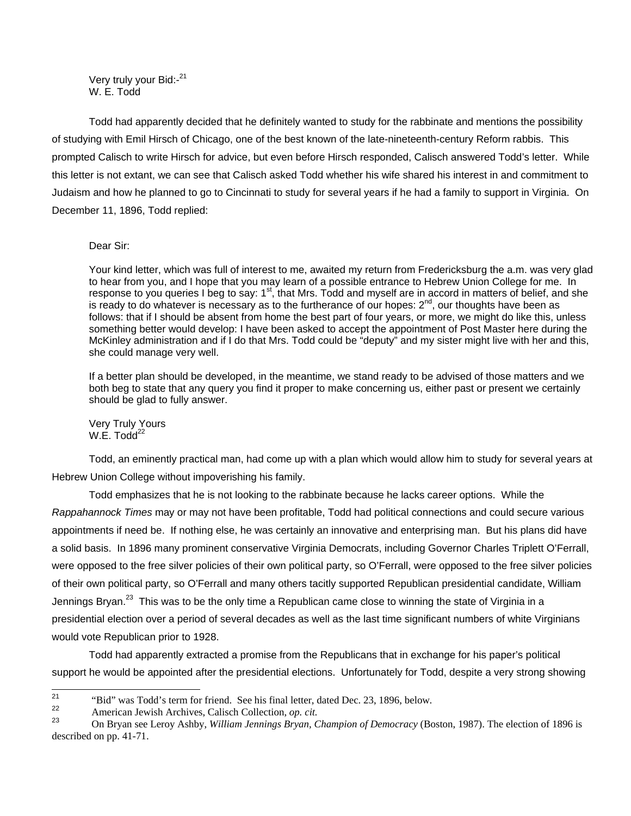Very truly your Bid:-[21](#page-4-0) W. E. Todd

Todd had apparently decided that he definitely wanted to study for the rabbinate and mentions the possibility of studying with Emil Hirsch of Chicago, one of the best known of the late-nineteenth-century Reform rabbis. This prompted Calisch to write Hirsch for advice, but even before Hirsch responded, Calisch answered Todd's letter. While this letter is not extant, we can see that Calisch asked Todd whether his wife shared his interest in and commitment to Judaism and how he planned to go to Cincinnati to study for several years if he had a family to support in Virginia. On December 11, 1896, Todd replied:

## Dear Sir:

Your kind letter, which was full of interest to me, awaited my return from Fredericksburg the a.m. was very glad to hear from you, and I hope that you may learn of a possible entrance to Hebrew Union College for me. In response to you queries I beg to say: 1<sup>st</sup>, that Mrs. Todd and myself are in accord in matters of belief, and she is ready to do whatever is necessary as to the furtherance of our hopes:  $2<sup>nd</sup>$ , our thoughts have been as follows: that if I should be absent from home the best part of four years, or more, we might do like this, unless something better would develop: I have been asked to accept the appointment of Post Master here during the McKinley administration and if I do that Mrs. Todd could be "deputy" and my sister might live with her and this, she could manage very well.

If a better plan should be developed, in the meantime, we stand ready to be advised of those matters and we both beg to state that any query you find it proper to make concerning us, either past or present we certainly should be glad to fully answer.

Very Truly Yours  $W.E.$  Todd $^{22}$  $^{22}$  $^{22}$ 

Todd, an eminently practical man, had come up with a plan which would allow him to study for several years at Hebrew Union College without impoverishing his family.

Todd emphasizes that he is not looking to the rabbinate because he lacks career options. While the *Rappahannock Times* may or may not have been profitable, Todd had political connections and could secure various appointments if need be. If nothing else, he was certainly an innovative and enterprising man. But his plans did have a solid basis. In 1896 many prominent conservative Virginia Democrats, including Governor Charles Triplett O'Ferrall, were opposed to the free silver policies of their own political party, so O'Ferrall, were opposed to the free silver policies of their own political party, so O'Ferrall and many others tacitly supported Republican presidential candidate, William Jennings Bryan.<sup>23</sup> This was to be the only time a Republican came close to winning the state of Virginia in a presidential election over a period of several decades as well as the last time significant numbers of white Virginians would vote Republican prior to 1928.

Todd had apparently extracted a promise from the Republicans that in exchange for his paper's political support he would be appointed after the presidential elections. Unfortunately for Todd, despite a very strong showing

 $21$ 

<span id="page-4-2"></span><span id="page-4-1"></span>

<span id="page-4-0"></span><sup>&</sup>quot;Bid" was Todd's term for friend. See his final letter, dated Dec. 23, 1896, below.<br>
American Jewish Archives, Calisch Collection, op. cit.<br>
On Bryan see Leroy Ashby, *William Jennings Bryan, Champion of Democracy* (Boston described on pp. 41-71.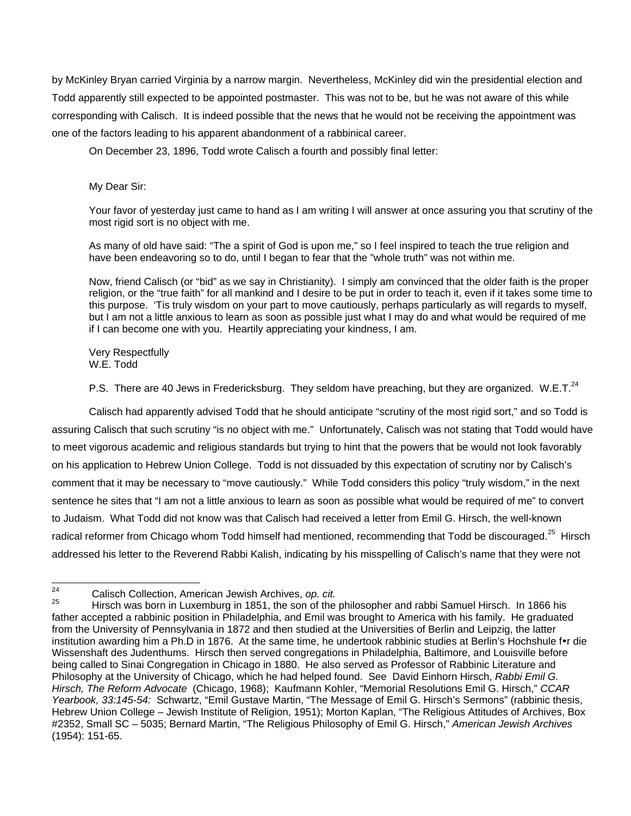by McKinley Bryan carried Virginia by a narrow margin. Nevertheless, McKinley did win the presidential election and Todd apparently still expected to be appointed postmaster. This was not to be, but he was not aware of this while corresponding with Calisch. It is indeed possible that the news that he would not be receiving the appointment was one of the factors leading to his apparent abandonment of a rabbinical career.

On December 23, 1896, Todd wrote Calisch a fourth and possibly final letter:

My Dear Sir:

Your favor of yesterday just came to hand as I am writing I will answer at once assuring you that scrutiny of the most rigid sort is no object with me.

As many of old have said: "The a spirit of God is upon me," so I feel inspired to teach the true religion and have been endeavoring so to do, until I began to fear that the "whole truth" was not within me.

Now, friend Calisch (or "bid" as we say in Christianity). I simply am convinced that the older faith is the proper religion, or the "true faith" for all mankind and I desire to be put in order to teach it, even if it takes some time to this purpose. 'Tis truly wisdom on your part to move cautiously, perhaps particularly as will regards to myself, but I am not a little anxious to learn as soon as possible just what I may do and what would be required of me if I can become one with you. Heartily appreciating your kindness, I am.

Very Respectfully W.E. Todd

P.S. There are 40 Jews in Fredericksburg. They seldom have preaching, but they are organized. W.E.T.<sup>[24](#page-5-0)</sup>

Calisch had apparently advised Todd that he should anticipate "scrutiny of the most rigid sort," and so Todd is assuring Calisch that such scrutiny "is no object with me." Unfortunately, Calisch was not stating that Todd would have to meet vigorous academic and religious standards but trying to hint that the powers that be would not look favorably on his application to Hebrew Union College. Todd is not dissuaded by this expectation of scrutiny nor by Calisch's comment that it may be necessary to "move cautiously." While Todd considers this policy "truly wisdom," in the next sentence he sites that "I am not a little anxious to learn as soon as possible what would be required of me" to convert to Judaism. What Todd did not know was that Calisch had received a letter from Emil G. Hirsch, the well-known radical reformer from Chicago whom Todd himself had mentioned, recommending that Todd be discouraged.<sup>25</sup> Hirsch addressed his letter to the Reverend Rabbi Kalish, indicating by his misspelling of Calisch's name that they were not

 $24$ 

<span id="page-5-1"></span><span id="page-5-0"></span><sup>&</sup>lt;sup>24</sup> Calisch Collection, American Jewish Archives, *op. cit.*<br><sup>25</sup> Hirsch was born in Luxemburg in 1851, the son of the philosopher and rabbi Samuel Hirsch. In 1866 his father accepted a rabbinic position in Philadelphia, and Emil was brought to America with his family. He graduated from the University of Pennsylvania in 1872 and then studied at the Universities of Berlin and Leipzig, the latter institution awarding him a Ph.D in 1876. At the same time, he undertook rabbinic studies at Berlin's Hochshule for die Wissenshaft des Judenthums. Hirsch then served congregations in Philadelphia, Baltimore, and Louisville before being called to Sinai Congregation in Chicago in 1880. He also served as Professor of Rabbinic Literature and Philosophy at the University of Chicago, which he had helped found. See David Einhorn Hirsch, *Rabbi Emil G. Hirsch, The Reform Advocate* (Chicago, 1968); Kaufmann Kohler, "Memorial Resolutions Emil G. Hirsch," *CCAR Yearbook, 33:145-54:* Schwartz, "Emil Gustave Martin, "The Message of Emil G. Hirsch's Sermons" (rabbinic thesis, Hebrew Union College – Jewish Institute of Religion, 1951); Morton Kaplan, "The Religious Attitudes of Archives, Box #2352, Small SC – 5035; Bernard Martin, "The Religious Philosophy of Emil G. Hirsch," *American Jewish Archives* (1954): 151-65.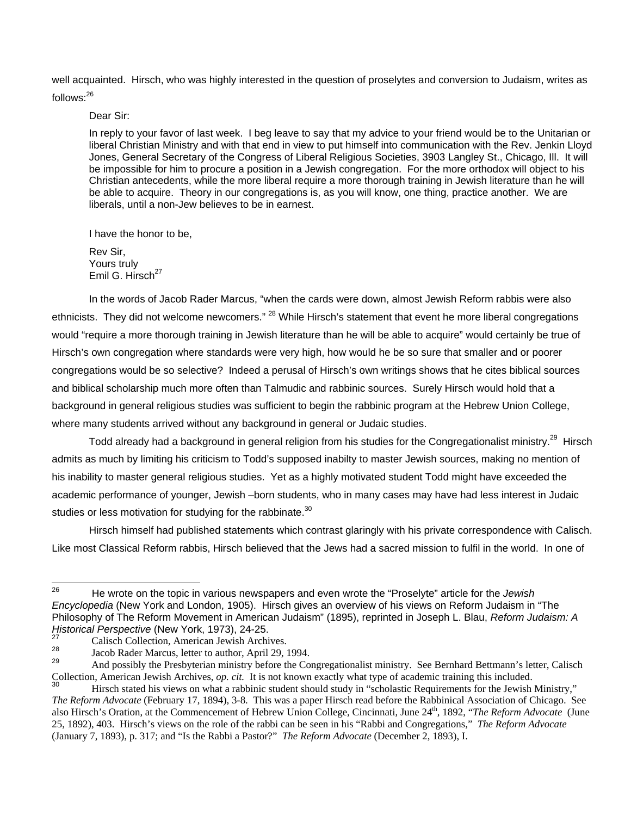well acquainted. Hirsch, who was highly interested in the question of proselytes and conversion to Judaism, writes as follows:<sup>26</sup>

Dear Sir:

In reply to your favor of last week. I beg leave to say that my advice to your friend would be to the Unitarian or liberal Christian Ministry and with that end in view to put himself into communication with the Rev. Jenkin Lloyd Jones, General Secretary of the Congress of Liberal Religious Societies, 3903 Langley St., Chicago, Ill. It will be impossible for him to procure a position in a Jewish congregation. For the more orthodox will object to his Christian antecedents, while the more liberal require a more thorough training in Jewish literature than he will be able to acquire. Theory in our congregations is, as you will know, one thing, practice another. We are liberals, until a non-Jew believes to be in earnest.

I have the honor to be,

Rev Sir, Yours truly Emil G. Hirsch $^{27}$  $^{27}$  $^{27}$ 

In the words of Jacob Rader Marcus, "when the cards were down, almost Jewish Reform rabbis were also ethnicists. They did not welcome newcomers." <sup>28</sup> While Hirsch's statement that event he more liberal congregations would "require a more thorough training in Jewish literature than he will be able to acquire" would certainly be true of Hirsch's own congregation where standards were very high, how would he be so sure that smaller and or poorer congregations would be so selective? Indeed a perusal of Hirsch's own writings shows that he cites biblical sources and biblical scholarship much more often than Talmudic and rabbinic sources. Surely Hirsch would hold that a background in general religious studies was sufficient to begin the rabbinic program at the Hebrew Union College, where many students arrived without any background in general or Judaic studies.

Todd already had a background in general religion from his studies for the Congregationalist ministry.<sup>29</sup> Hirsch admits as much by limiting his criticism to Todd's supposed inabilty to master Jewish sources, making no mention of his inability to master general religious studies. Yet as a highly motivated student Todd might have exceeded the academic performance of younger, Jewish –born students, who in many cases may have had less interest in Judaic studies or less motivation for studying for the rabbinate.<sup>[30](#page-6-4)</sup>

Hirsch himself had published statements which contrast glaringly with his private correspondence with Calisch. Like most Classical Reform rabbis, Hirsch believed that the Jews had a sacred mission to fulfil in the world. In one of

<span id="page-6-0"></span><sup>26</sup> 26 He wrote on the topic in various newspapers and even wrote the "Proselyte" article for the *Jewish Encyclopedia* (New York and London, 1905). Hirsch gives an overview of his views on Reform Judaism in "The Philosophy of The Reform Movement in American Judaism" (1895), reprinted in Joseph L. Blau, *Reform Judaism: A Historical Perspective* (New York, 1973), 24-25.<br><sup>27</sup> Calisch Collection, American Jewish Archives.

<span id="page-6-1"></span>

<span id="page-6-3"></span><span id="page-6-2"></span>

<sup>&</sup>lt;sup>28</sup> Jacob Rader Marcus, letter to author, April 29, 1994.<br><sup>29</sup> And possibly the Presbyterian ministry before the Congregationalist ministry. See Bernhard Bettmann's letter, Calisch Collection, American Jewish Archives, op. cit. It is not known exactly what type of academic training this included.<br><sup>30</sup> Hirsch stated his views on what a rabbinic student should study in "scholastic Requirements for the

<span id="page-6-4"></span>*The Reform Advocate* (February 17, 1894), 3-8. This was a paper Hirsch read before the Rabbinical Association of Chicago. See also Hirsch's Oration, at the Commencement of Hebrew Union College, Cincinnati, June 24th, 1892, "*The Reform Advocate* (June 25, 1892), 403. Hirsch's views on the role of the rabbi can be seen in his "Rabbi and Congregations," *The Reform Advocate*  (January 7, 1893), p. 317; and "Is the Rabbi a Pastor?" *The Reform Advocate* (December 2, 1893), I.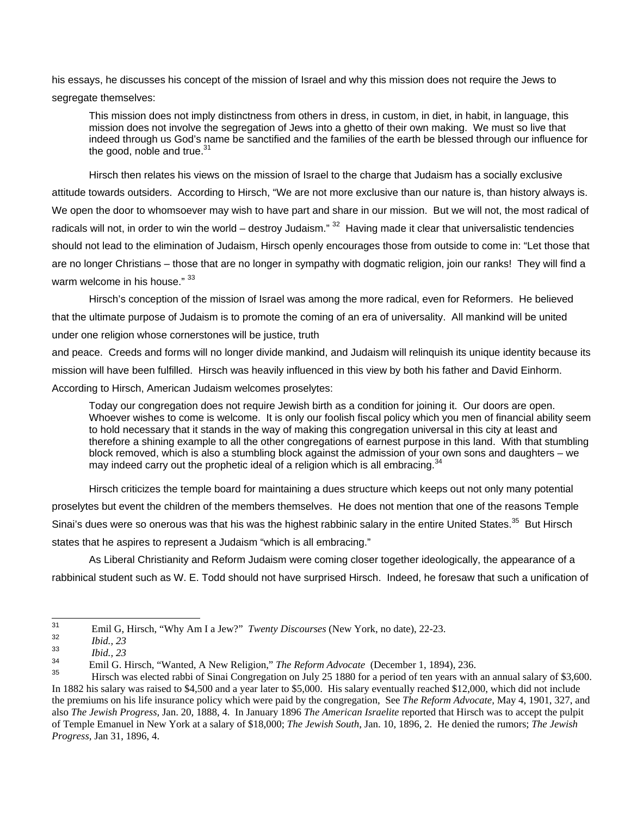his essays, he discusses his concept of the mission of Israel and why this mission does not require the Jews to segregate themselves:

This mission does not imply distinctness from others in dress, in custom, in diet, in habit, in language, this mission does not involve the segregation of Jews into a ghetto of their own making. We must so live that indeed through us God's name be sanctified and the families of the earth be blessed through our influence for the good, noble and true. $31$ 

Hirsch then relates his views on the mission of Israel to the charge that Judaism has a socially exclusive attitude towards outsiders. According to Hirsch, "We are not more exclusive than our nature is, than history always is. We open the door to whomsoever may wish to have part and share in our mission. But we will not, the most radical of radicals will not, in order to win the world – destroy Judaism."  $32$  Having made it clear that universalistic tendencies should not lead to the elimination of Judaism, Hirsch openly encourages those from outside to come in: "Let those that are no longer Christians – those that are no longer in sympathy with dogmatic religion, join our ranks! They will find a warm welcome in his house." [33](#page-7-2)

Hirsch's conception of the mission of Israel was among the more radical, even for Reformers. He believed that the ultimate purpose of Judaism is to promote the coming of an era of universality. All mankind will be united under one religion whose cornerstones will be justice, truth

and peace. Creeds and forms will no longer divide mankind, and Judaism will relinquish its unique identity because its mission will have been fulfilled. Hirsch was heavily influenced in this view by both his father and David Einhorm. According to Hirsch, American Judaism welcomes proselytes:

Today our congregation does not require Jewish birth as a condition for joining it. Our doors are open. Whoever wishes to come is welcome. It is only our foolish fiscal policy which you men of financial ability seem to hold necessary that it stands in the way of making this congregation universal in this city at least and therefore a shining example to all the other congregations of earnest purpose in this land. With that stumbling block removed, which is also a stumbling block against the admission of your own sons and daughters – we may indeed carry out the prophetic ideal of a religion which is all embracing.<sup>[34](#page-7-3)</sup>

Hirsch criticizes the temple board for maintaining a dues structure which keeps out not only many potential proselytes but event the children of the members themselves. He does not mention that one of the reasons Temple Sinai's dues were so onerous was that his was the highest rabbinic salary in the entire United States.<sup>35</sup> But Hirsch states that he aspires to represent a Judaism "which is all embracing."

As Liberal Christianity and Reform Judaism were coming closer together ideologically, the appearance of a rabbinical student such as W. E. Todd should not have surprised Hirsch. Indeed, he foresaw that such a unification of

<span id="page-7-0"></span><sup>31</sup> <sup>31</sup> Emil G, Hirsch, "Why Am I a Jew?" *Twenty Discourses* (New York, no date), 22-23.

<span id="page-7-1"></span><sup>32</sup> *Ibid., 23* 

<span id="page-7-2"></span><sup>33</sup> *Ibid., 23* 

<span id="page-7-3"></span><sup>34</sup> Emil G. Hirsch, "Wanted, A New Religion," *The Reform Advocate* (December 1, 1894), 236.

<span id="page-7-4"></span><sup>35</sup> Hirsch was elected rabbi of Sinai Congregation on July 25 1880 for a period of ten years with an annual salary of \$3,600. In 1882 his salary was raised to \$4,500 and a year later to \$5,000. His salary eventually reached \$12,000, which did not include the premiums on his life insurance policy which were paid by the congregation, See *The Reform Advocate,* May 4, 1901, 327, and also *The Jewish Progress,* Jan. 20, 1888, 4. In January 1896 *The American Israelite* reported that Hirsch was to accept the pulpit of Temple Emanuel in New York at a salary of \$18,000; *The Jewish South*, Jan. 10, 1896, 2. He denied the rumors; *The Jewish Progress,* Jan 31, 1896, 4.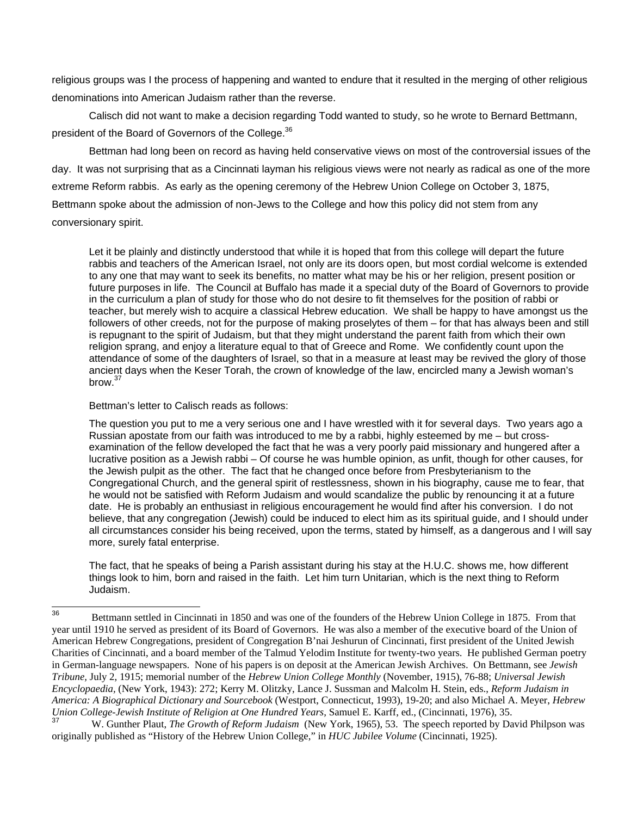religious groups was I the process of happening and wanted to endure that it resulted in the merging of other religious denominations into American Judaism rather than the reverse.

Calisch did not want to make a decision regarding Todd wanted to study, so he wrote to Bernard Bettmann, president of the Board of Governors of the College.<sup>[36](#page-8-0)</sup>

Bettman had long been on record as having held conservative views on most of the controversial issues of the day. It was not surprising that as a Cincinnati layman his religious views were not nearly as radical as one of the more extreme Reform rabbis. As early as the opening ceremony of the Hebrew Union College on October 3, 1875, Bettmann spoke about the admission of non-Jews to the College and how this policy did not stem from any conversionary spirit.

Let it be plainly and distinctly understood that while it is hoped that from this college will depart the future rabbis and teachers of the American Israel, not only are its doors open, but most cordial welcome is extended to any one that may want to seek its benefits, no matter what may be his or her religion, present position or future purposes in life. The Council at Buffalo has made it a special duty of the Board of Governors to provide in the curriculum a plan of study for those who do not desire to fit themselves for the position of rabbi or teacher, but merely wish to acquire a classical Hebrew education. We shall be happy to have amongst us the followers of other creeds, not for the purpose of making proselytes of them – for that has always been and still is repugnant to the spirit of Judaism, but that they might understand the parent faith from which their own religion sprang, and enjoy a literature equal to that of Greece and Rome. We confidently count upon the attendance of some of the daughters of Israel, so that in a measure at least may be revived the glory of those ancient days when the Keser Torah, the crown of knowledge of the law, encircled many a Jewish woman's  $h$ row $37$ 

Bettman's letter to Calisch reads as follows:

The question you put to me a very serious one and I have wrestled with it for several days. Two years ago a Russian apostate from our faith was introduced to me by a rabbi, highly esteemed by me – but crossexamination of the fellow developed the fact that he was a very poorly paid missionary and hungered after a lucrative position as a Jewish rabbi – Of course he was humble opinion, as unfit, though for other causes, for the Jewish pulpit as the other. The fact that he changed once before from Presbyterianism to the Congregational Church, and the general spirit of restlessness, shown in his biography, cause me to fear, that he would not be satisfied with Reform Judaism and would scandalize the public by renouncing it at a future date. He is probably an enthusiast in religious encouragement he would find after his conversion. I do not believe, that any congregation (Jewish) could be induced to elect him as its spiritual guide, and I should under all circumstances consider his being received, upon the terms, stated by himself, as a dangerous and I will say more, surely fatal enterprise.

The fact, that he speaks of being a Parish assistant during his stay at the H.U.C. shows me, how different things look to him, born and raised in the faith. Let him turn Unitarian, which is the next thing to Reform Judaism.

<span id="page-8-0"></span> $36$ <sup>36</sup> Bettmann settled in Cincinnati in 1850 and was one of the founders of the Hebrew Union College in 1875. From that year until 1910 he served as president of its Board of Governors. He was also a member of the executive board of the Union of American Hebrew Congregations, president of Congregation B'nai Jeshurun of Cincinnati, first president of the United Jewish Charities of Cincinnati, and a board member of the Talmud Yelodim Institute for twenty-two years. He published German poetry in German-language newspapers. None of his papers is on deposit at the American Jewish Archives. On Bettmann, see *Jewish Tribune,* July 2, 1915; memorial number of the *Hebrew Union College Monthly* (November, 1915), 76-88; *Universal Jewish Encyclopaedia,* (New York, 1943): 272; Kerry M. Olitzky, Lance J. Sussman and Malcolm H. Stein, eds., *Reform Judaism in America: A Biographical Dictionary and Sourcebook* (Westport, Connecticut, 1993), 19-20; and also Michael A. Meyer, *Hebrew Union College-Jewish Institute of Religion at One Hundred Years, Samuel E. Karff, ed., (Cincinnati, 1976), 35.*<br><sup>37</sup>

<span id="page-8-1"></span><sup>37</sup> W. Gunther Plaut, *The Growth of Reform Judaism* (New York, 1965), 53. The speech reported by David Philpson was originally published as "History of the Hebrew Union College," in *HUC Jubilee Volume* (Cincinnati, 1925).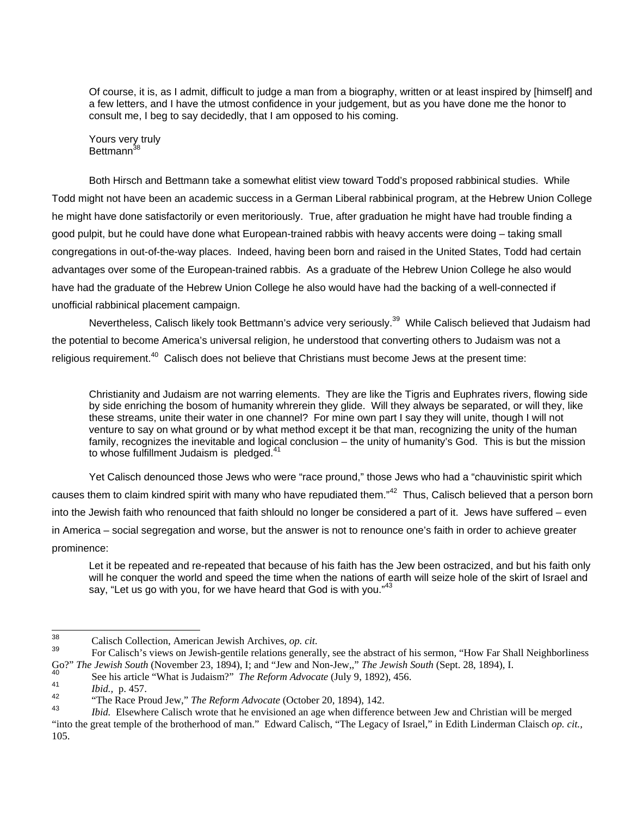Of course, it is, as I admit, difficult to judge a man from a biography, written or at least inspired by [himself] and a few letters, and I have the utmost confidence in your judgement, but as you have done me the honor to consult me, I beg to say decidedly, that I am opposed to his coming.

Yours very truly Bettmann<sup>38</sup>

Both Hirsch and Bettmann take a somewhat elitist view toward Todd's proposed rabbinical studies. While Todd might not have been an academic success in a German Liberal rabbinical program, at the Hebrew Union College he might have done satisfactorily or even meritoriously. True, after graduation he might have had trouble finding a good pulpit, but he could have done what European-trained rabbis with heavy accents were doing – taking small congregations in out-of-the-way places. Indeed, having been born and raised in the United States, Todd had certain advantages over some of the European-trained rabbis. As a graduate of the Hebrew Union College he also would have had the graduate of the Hebrew Union College he also would have had the backing of a well-connected if unofficial rabbinical placement campaign.

Nevertheless, Calisch likely took Bettmann's advice very seriously.<sup>39</sup> While Calisch believed that Judaism had the potential to become America's universal religion, he understood that converting others to Judaism was not a religious requirement.<sup>40</sup> Calisch does not believe that Christians must become Jews at the present time:

Christianity and Judaism are not warring elements. They are like the Tigris and Euphrates rivers, flowing side by side enriching the bosom of humanity whrerein they glide. Will they always be separated, or will they, like these streams, unite their water in one channel? For mine own part I say they will unite, though I will not venture to say on what ground or by what method except it be that man, recognizing the unity of the human family, recognizes the inevitable and logical conclusion – the unity of humanity's God. This is but the mission to whose fulfillment Judaism is pledged.<sup>[41](#page-9-3)</sup>

Yet Calisch denounced those Jews who were "race pround," those Jews who had a "chauvinistic spirit which causes them to claim kindred spirit with many who have repudiated them."<sup>42</sup> Thus, Calisch believed that a person born into the Jewish faith who renounced that faith shlould no longer be considered a part of it. Jews have suffered – even in America – social segregation and worse, but the answer is not to renounce one's faith in order to achieve greater prominence:

Let it be repeated and re-repeated that because of his faith has the Jew been ostracized, and but his faith only will he conquer the world and speed the time when the nations of earth will seize hole of the skirt of Israel and say, "Let us go with you, for we have heard that God is with you."<sup>[43](#page-9-5)</sup>

<span id="page-9-0"></span><sup>38</sup> 

<span id="page-9-1"></span><sup>&</sup>lt;sup>38</sup> Calisch Collection, American Jewish Archives, *op. cit.* **2006** Calisch Collection, American Jewish-gentile relations generally, see the abstract of his sermon, "How Far Shall Neighborliness" For Calisch's views on Je Go?" The Jewish South (November 23, 1894), I; and "Jew and Non-Jew,," The Jewish South (Sept. 28, 1894), I.<br>
<sup>40</sup><br>
<sup>40</sup> See his article "What is Judaism?" *The Reform Advocate* (July 9, 1892), 456.<br> *bid.*, p. 457.<br>
"The R

<span id="page-9-2"></span>

<span id="page-9-3"></span>

<span id="page-9-4"></span>

<span id="page-9-5"></span>*Ibid.* Elsewhere Calisch wrote that he envisioned an age when difference between Jew and Christian will be merged "into the great temple of the brotherhood of man." Edward Calisch, "The Legacy of Israel," in Edith Linderman Claisch *op. cit.,*  105.